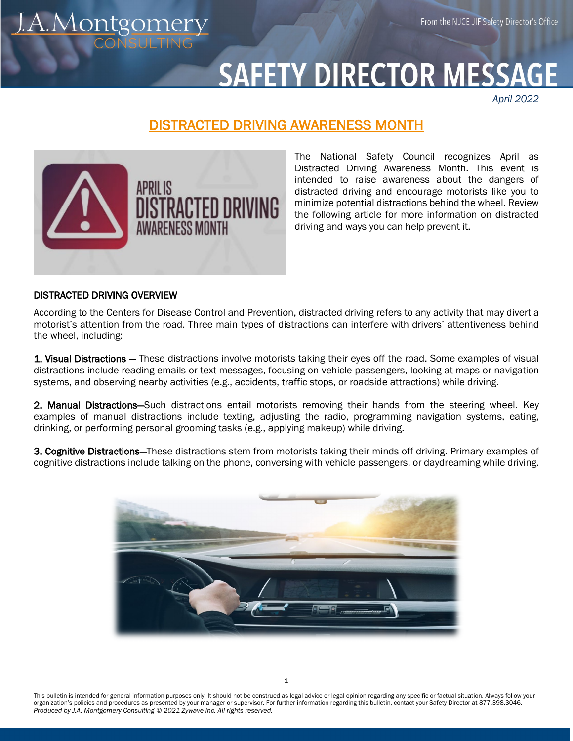From the NJCE JIF Safety Director's Office

## **SAFETY DIRECTOR MESSA**

*April 2022*

## DISTRACTED DRIVING AWARENESS MONTH



The National Safety Council recognizes April as Distracted Driving Awareness Month. This event is intended to raise awareness about the dangers of distracted driving and encourage motorists like you to minimize potential distractions behind the wheel. Review the following article for more information on distracted driving and ways you can help prevent it.

## DISTRACTED DRIVING OVERVIEW

<u>A.Montgomery</u>

According to the Centers for Disease Control and Prevention, distracted driving refers to any activity that may divert a motorist's attention from the road. Three main types of distractions can interfere with drivers' attentiveness behind the wheel, including:

1. Visual Distractions - These distractions involve motorists taking their eyes off the road. Some examples of visual distractions include reading emails or text messages, focusing on vehicle passengers, looking at maps or navigation systems, and observing nearby activities (e.g., accidents, traffic stops, or roadside attractions) while driving.

2. Manual Distractions—Such distractions entail motorists removing their hands from the steering wheel. Key examples of manual distractions include texting, adjusting the radio, programming navigation systems, eating, drinking, or performing personal grooming tasks (e.g., applying makeup) while driving.

3. Cognitive Distractions—These distractions stem from motorists taking their minds off driving. Primary examples of cognitive distractions include talking on the phone, conversing with vehicle passengers, or daydreaming while driving.



This bulletin is intended for general information purposes only. It should not be construed as legal advice or legal opinion regarding any specific or factual situation. Always follow your organization's policies and procedures as presented by your manager or supervisor. For further information regarding this bulletin, contact your Safety Director at 877.398.3046. *Produced by J.A. Montgomery Consulting © 2021 Zywave Inc. All rights reserved.*